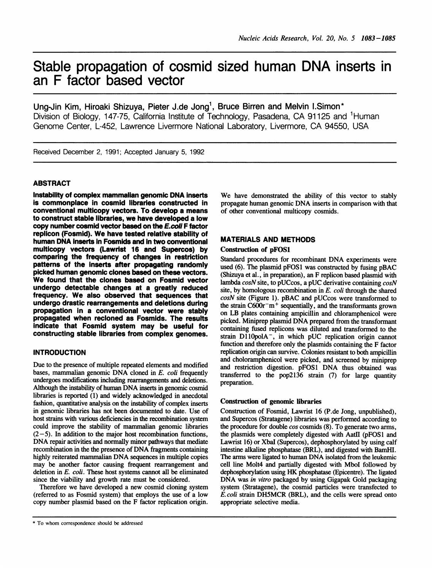# Stable propagation of cosmid sized human DNA inserts in an F factor based vector

Ung-Jin Kim, Hiroaki Shizuya, Pieter J.de Jong', Bruce Birren and Melvin l.Simon\* Division of Biology, 147-75, California Institute of Technology, Pasadena, CA 91125 and 'Human Genome Center, L-452, Lawrence Livermore National Laboratory, Livermore, CA 94550, USA

Received December 2, 1991; Accepted January 5, 1992

## ABSTRACT

Instability of complex mammalian genomic DNA inserts is commonplace in cosmid libraries constructed in conventional multicopy vectors. To develop a means to construct stable libraries, we have developed a low copy number cosmid vector based on the E.coll F factor replicon (Fosmid). We have tested relative stability of human DNA inserts in Fosmids and in two conventional multicopy vectors (Lawrist 16 and Supercos) by comparing the frequency of changes in restriction patterns of the inserts after propagating randomly picked human genomic clones based on these vectors. We found that the clones based on Fosmid vector undergo detectable changes at a greatly reduced frequency. We also observed that sequences that undergo drastic rearrangements and deletions during propagation in a conventional vector were stably propagated when recloned as Fosmids. The results indicate that Fosmid system may be useful for constructing stable libraries from complex genomes.

## **INTRODUCTION**

Due to the presence of multiple repeated elements and modified bases, mammalian genomic DNA cloned in E. coli frequently undergoes modifications including rearrangements and deletions. Although the instability of human DNA inserts in genomic cosmid libraries is reported (1) and widely acknowledged in anecdotal fashion, quantitative analysis on the instability of complex inserts in genomic libraries has not been documented to date. Use of host strains with various deficiencies in the recombination system could improve the stability of mammalian genomic libraries  $(2-5)$ . In addition to the major host recombination functions, DNA repair activities and normally minor pathways that mediate recombination in the the presence of DNA fragments containing highly reiterated mammalian DNA sequences in multiple copies may be another factor causing frequent rearrangement and deletion in E. coli. These host systems cannot all be eliminated since the viability and growth rate must be considered.

Therefore we have developed a new cosmid cloning system (referred to as Fosmid system) that employs the use of a low copy number plasmid based on the F factor replication origin.

We have demonstrated the ability of this vector to stably propagate human genomic DNA inserts in comparison with that of other conventional multicopy cosmids.

# MATERIALS AND METHODS

## Construction of pFOS1

Standard procedures for recombinant DNA experiments were used (6). The plasmid pFOSl was constructed by fusing pBAC (Shizuya et al., in preparation), an F replicon based plasmid with lambda cosN site, to pUCcos, a pUC derivative containing cosN site, by homologous recombination in E. coli through the shared cosN site (Figure 1). pBAC and pUCcos were transformed to the strain  $C600r^-m^+$  sequentially, and the transformants grown on LB plates containing ampicillin and chloramphenicol were picked. Miniprep plasmid DNA prepared from the transformant containing fused replicons was diluted and transformed to the strain  $D110polA^-$ , in which pUC replication origin cannot function and therefore only the plasmids containing the F factor replication origin can survive. Colonies resistant to both ampicillin and choloramphenicol were picked, and screened by miniprep and restriction digestion. pFOSl DNA thus obtained was transferred to the pop2136 strain (7) for large quantity preparation.

## Construction of genomic libraries

Construction of Fosmid, Lawrist 16 (P.de Jong, unpublished), and Supercos (Stratagene) libraries was performed according to the procedure for double cos cosmids (8). To generate two arms, the plasmids were completely digested with AatII (pFOS1 and Lawrist 16) or XbaI (Supercos), dephosphorylated by using calf intestine alkaline phosphatase (BRL), and digested with BamHI. The arms were ligated to human DNA isolated from the leukemic cell line Molt4 and partially digested with MboI followed by dephosphorylation using HK phosphatase (Epicentre). The ligated DNA was in vitro packaged by using Gigapak Gold packaging system (Stratagene), the cosmid particles were transfected to E. coli strain DH5MCR (BRL), and the cells were spread onto appropriate selective media.

<sup>\*</sup> To whom correspondence should be addressed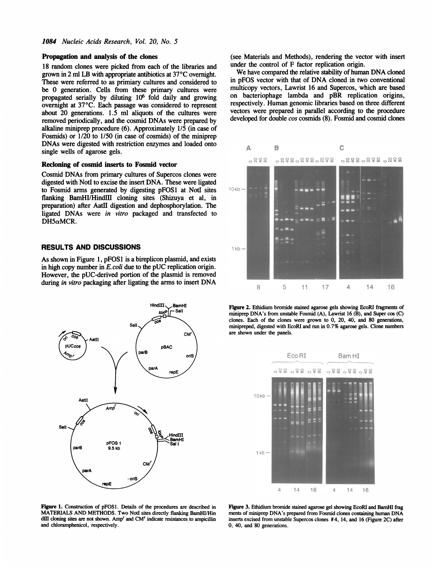#### Propagation and analysis of the clones

18 random clones were picked from each of the libraries and grown in 2 ml LB with appropriate antibiotics at 37°C overnight. These were referred to as primiary cultures and considered to be 0 generation. Cells from these primary cultures were propagated serially by diluting 106 fold daily and growing overnight at 37°C. Each passage was considered to represent about 20 generations. 1.5 ml aliquots of the cultures were removed periodically, and the cosmid DNAs were prepared by alkaline miniprep procedure (6). Approximately 1/5 (in case of Fosmids) or 1/20 to 1/50 (in case of cosmids) of the miniprep DNAs were digested with restriction enzymes and loaded onto single wells of agarose gels.

#### Recloning of cosmid inserts to Fosmid vector

Cosmid DNAs from primary cultures of Supercos clones were digested with NotI to excise the insert DNA. These were ligated to Fosmid arms generated by digesting pFOSI at Notd sites flanking BamHI/HindIll cloning sites (Shizuya et al, in preparation) after Aatll digestion and dephosphorylation. The ligated DNAs were in vitro packaged and transfected to  $DH5\alpha MCR.$ 

## RESULTS AND DISCUSSIONS

As shown in Figure 1, pFOSl is a bireplicon plasmid, and exists in high copy number in  $E.$  coli due to the pUC replication origin. However, the pUC-derived portion of the plasmid is removed during in vitro packaging after ligating the arms to insert DNA



(see Materials and Methods), rendering the vector with insert under the control of F factor replication origin.

We have compared the relative stability of human DNA cloned in pFOS vector with that of DNA cloned in two conventional multicopy vectors, Lawrist 16 and Supercos, which are based on bacteriophage lambda and pBR replication origins, respectively. Human genomic libraries based on three different vectors were prepared in parallel according to the procedure developed for double cos cosmids (8). Fosmid and cosmid clones



Figure 2. Ethidium bromide stained agarose gels showing EcoRI fragments of miniprep DNA's from unstable Fosmid (A), Lawrist 16 (B), and Super cos (C) clones. Each of the clones were grown to 0, 20, 40, and 80 generations, minipreped, digested with EcoRl and run in 0.7% agarose gels. Clone numbers are shown under the panels.



Figure 1. Construction of pFOS1. Details of the procedures are described in MATERLALS AND METHODS. Two NotI sites directly flanking BamHI/Hin dIII cloning sites are not shown. Amp<sup>r</sup> and CM<sup>r</sup> indicate resistances to ampicillin and chloramphenicol, respectively.

Figure 3. Ethidium bromide stained agarose gel showing EcoRI and BamHI frag ments of miniprep DNA's prepared from Fosmid clones containing hunan DNA inserts excised from unstable Supercos clones #4, 14, and 16 (Figure 2C) after 0. 40, and 80 generations.